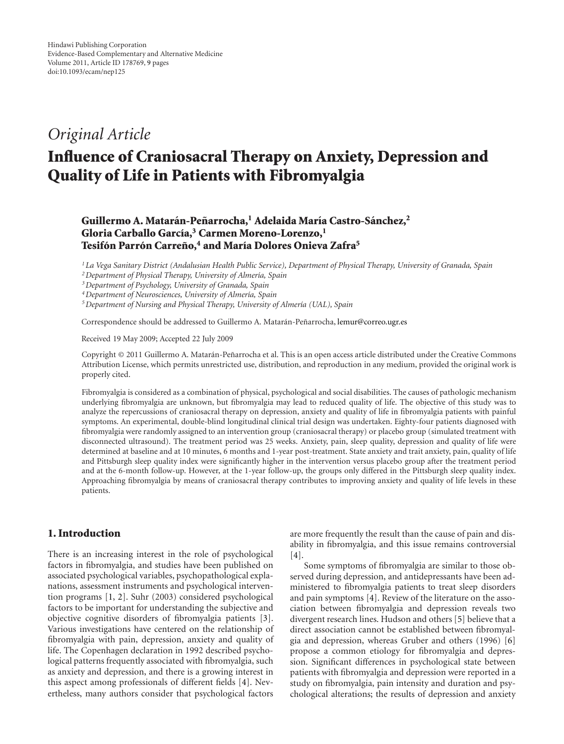## *Original Article*

# **Influence of Craniosacral Therapy on Anxiety, Depression and Quality of Life in Patients with Fibromyalgia**

### **Guillermo A. Mataran-Pe ´ narrocha, ˜ <sup>1</sup> Adelaida Mar´ıa Castro-Sanchez, ´ <sup>2</sup>** Gloria Carballo García,<sup>3</sup> Carmen Moreno-Lorenzo,<sup>1</sup> **Tesifón Parrón Carreño,<sup>4</sup> and María Dolores Onieva Zafra<sup>5</sup>**

*1La Vega Sanitary District (Andalusian Health Public Service), Department of Physical Therapy, University of Granada, Spain* <sup>2</sup> Department of Physical Therapy, University of Almería, Spain

*3Department of Psychology, University of Granada, Spain*

<sup>4</sup> Department of Neurosciences, University of Almería, Spain

<sup>5</sup> Department of Nursing and Physical Therapy, University of Almería (UAL), Spain

Correspondence should be addressed to Guillermo A. Matarán-Peñarrocha, [lemur@correo.ugr.es](mailto:lemur@correo.ugr.es)

Received 19 May 2009; Accepted 22 July 2009

Copyright © 2011 Guillermo A. Matarán-Peñarrocha et al. This is an open access article distributed under the Creative Commons Attribution License, which permits unrestricted use, distribution, and reproduction in any medium, provided the original work is properly cited.

Fibromyalgia is considered as a combination of physical, psychological and social disabilities. The causes of pathologic mechanism underlying fibromyalgia are unknown, but fibromyalgia may lead to reduced quality of life. The objective of this study was to analyze the repercussions of craniosacral therapy on depression, anxiety and quality of life in fibromyalgia patients with painful symptoms. An experimental, double-blind longitudinal clinical trial design was undertaken. Eighty-four patients diagnosed with fibromyalgia were randomly assigned to an intervention group (craniosacral therapy) or placebo group (simulated treatment with disconnected ultrasound). The treatment period was 25 weeks. Anxiety, pain, sleep quality, depression and quality of life were determined at baseline and at 10 minutes, 6 months and 1-year post-treatment. State anxiety and trait anxiety, pain, quality of life and Pittsburgh sleep quality index were significantly higher in the intervention versus placebo group after the treatment period and at the 6-month follow-up. However, at the 1-year follow-up, the groups only differed in the Pittsburgh sleep quality index. Approaching fibromyalgia by means of craniosacral therapy contributes to improving anxiety and quality of life levels in these patients.

#### **1. Introduction**

There is an increasing interest in the role of psychological factors in fibromyalgia, and studies have been published on associated psychological variables, psychopathological explanations, assessment instruments and psychological intervention programs [\[1](#page-7-1), [2](#page-7-2)]. Suhr (2003) considered psychological factors to be important for understanding the subjective and objective cognitive disorders of fibromyalgia patients [\[3\]](#page-7-3). Various investigations have centered on the relationship of fibromyalgia with pain, depression, anxiety and quality of life. The Copenhagen declaration in 1992 described psychological patterns frequently associated with fibromyalgia, such as anxiety and depression, and there is a growing interest in this aspect among professionals of different fields [\[4](#page-7-4)]. Nevertheless, many authors consider that psychological factors

are more frequently the result than the cause of pain and disability in fibromyalgia, and this issue remains controversial [\[4](#page-7-4)].

Some symptoms of fibromyalgia are similar to those observed during depression, and antidepressants have been administered to fibromyalgia patients to treat sleep disorders and pain symptoms [\[4](#page-7-4)]. Review of the literature on the association between fibromyalgia and depression reveals two divergent research lines. Hudson and others [\[5\]](#page-7-5) believe that a direct association cannot be established between fibromyalgia and depression, whereas Gruber and others (1996) [\[6](#page-7-6)] propose a common etiology for fibromyalgia and depression. Significant differences in psychological state between patients with fibromyalgia and depression were reported in a study on fibromyalgia, pain intensity and duration and psychological alterations; the results of depression and anxiety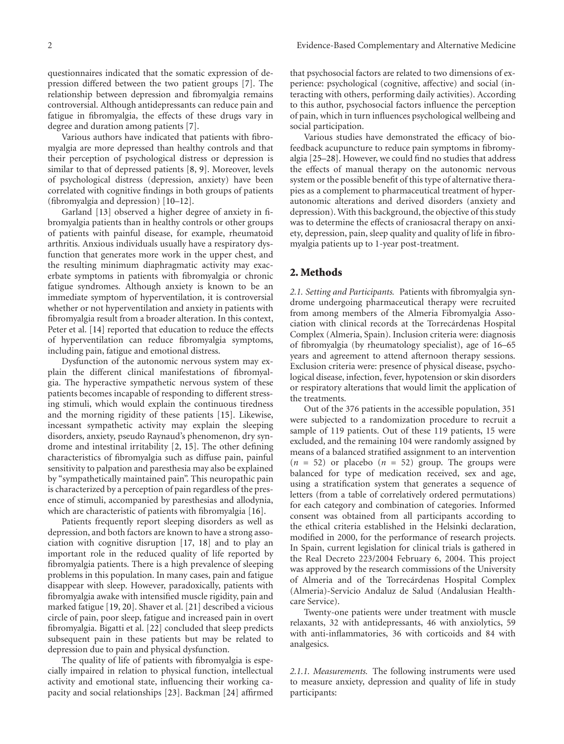questionnaires indicated that the somatic expression of depression differed between the two patient groups [\[7\]](#page-7-7). The relationship between depression and fibromyalgia remains controversial. Although antidepressants can reduce pain and fatigue in fibromyalgia, the effects of these drugs vary in

degree and duration among patients [\[7\]](#page-7-7). Various authors have indicated that patients with fibromyalgia are more depressed than healthy controls and that their perception of psychological distress or depression is similar to that of depressed patients [\[8,](#page-7-8) [9\]](#page-7-9). Moreover, levels of psychological distress (depression, anxiety) have been correlated with cognitive findings in both groups of patients (fibromyalgia and depression) [\[10](#page-7-10)[–12\]](#page-7-11).

Garland [\[13\]](#page-7-12) observed a higher degree of anxiety in fibromyalgia patients than in healthy controls or other groups of patients with painful disease, for example, rheumatoid arthritis. Anxious individuals usually have a respiratory dysfunction that generates more work in the upper chest, and the resulting minimum diaphragmatic activity may exacerbate symptoms in patients with fibromyalgia or chronic fatigue syndromes. Although anxiety is known to be an immediate symptom of hyperventilation, it is controversial whether or not hyperventilation and anxiety in patients with fibromyalgia result from a broader alteration. In this context, Peter et al. [\[14](#page-7-13)] reported that education to reduce the effects of hyperventilation can reduce fibromyalgia symptoms, including pain, fatigue and emotional distress.

Dysfunction of the autonomic nervous system may explain the different clinical manifestations of fibromyalgia. The hyperactive sympathetic nervous system of these patients becomes incapable of responding to different stressing stimuli, which would explain the continuous tiredness and the morning rigidity of these patients [\[15](#page-7-14)]. Likewise, incessant sympathetic activity may explain the sleeping disorders, anxiety, pseudo Raynaud's phenomenon, dry syndrome and intestinal irritability [\[2,](#page-7-2) [15\]](#page-7-14). The other defining characteristics of fibromyalgia such as diffuse pain, painful sensitivity to palpation and paresthesia may also be explained by "sympathetically maintained pain". This neuropathic pain is characterized by a perception of pain regardless of the presence of stimuli, accompanied by paresthesias and allodynia, which are characteristic of patients with fibromyalgia [\[16](#page-7-15)].

Patients frequently report sleeping disorders as well as depression, and both factors are known to have a strong association with cognitive disruption [\[17,](#page-7-16) [18\]](#page-7-17) and to play an important role in the reduced quality of life reported by fibromyalgia patients. There is a high prevalence of sleeping problems in this population. In many cases, pain and fatigue disappear with sleep. However, paradoxically, patients with fibromyalgia awake with intensified muscle rigidity, pain and marked fatigue [\[19,](#page-7-18) [20\]](#page-7-19). Shaver et al. [\[21](#page-7-20)] described a vicious circle of pain, poor sleep, fatigue and increased pain in overt fibromyalgia. Bigatti et al. [\[22\]](#page-7-21) concluded that sleep predicts subsequent pain in these patients but may be related to depression due to pain and physical dysfunction.

The quality of life of patients with fibromyalgia is especially impaired in relation to physical function, intellectual activity and emotional state, influencing their working capacity and social relationships [\[23](#page-7-22)]. Backman [\[24](#page-7-23)] affirmed that psychosocial factors are related to two dimensions of experience: psychological (cognitive, affective) and social (interacting with others, performing daily activities). According to this author, psychosocial factors influence the perception of pain, which in turn influences psychological wellbeing and social participation.

Various studies have demonstrated the efficacy of biofeedback acupuncture to reduce pain symptoms in fibromyalgia [\[25](#page-7-24)[–28\]](#page-7-25). However, we could find no studies that address the effects of manual therapy on the autonomic nervous system or the possible benefit of this type of alternative therapies as a complement to pharmaceutical treatment of hyperautonomic alterations and derived disorders (anxiety and depression). With this background, the objective of this study was to determine the effects of craniosacral therapy on anxiety, depression, pain, sleep quality and quality of life in fibromyalgia patients up to 1-year post-treatment.

#### **2. Methods**

*2.1. Setting and Participants.* Patients with fibromyalgia syndrome undergoing pharmaceutical therapy were recruited from among members of the Almeria Fibromyalgia Association with clinical records at the Torrecárdenas Hospital Complex (Almeria, Spain). Inclusion criteria were: diagnosis of fibromyalgia (by rheumatology specialist), age of 16–65 years and agreement to attend afternoon therapy sessions. Exclusion criteria were: presence of physical disease, psychological disease, infection, fever, hypotension or skin disorders or respiratory alterations that would limit the application of the treatments.

Out of the 376 patients in the accessible population, 351 were subjected to a randomization procedure to recruit a sample of 119 patients. Out of these 119 patients, 15 were excluded, and the remaining 104 were randomly assigned by means of a balanced stratified assignment to an intervention  $(n = 52)$  or placebo  $(n = 52)$  group. The groups were balanced for type of medication received, sex and age, using a stratification system that generates a sequence of letters (from a table of correlatively ordered permutations) for each category and combination of categories. Informed consent was obtained from all participants according to the ethical criteria established in the Helsinki declaration, modified in 2000, for the performance of research projects. In Spain, current legislation for clinical trials is gathered in the Real Decreto 223/2004 February 6, 2004. This project was approved by the research commissions of the University of Almeria and of the Torrecardenas Hospital Complex (Almeria)-Servicio Andaluz de Salud (Andalusian Healthcare Service).

Twenty-one patients were under treatment with muscle relaxants, 32 with antidepressants, 46 with anxiolytics, 59 with anti-inflammatories, 36 with corticoids and 84 with analgesics.

*2.1.1. Measurements.* The following instruments were used to measure anxiety, depression and quality of life in study participants: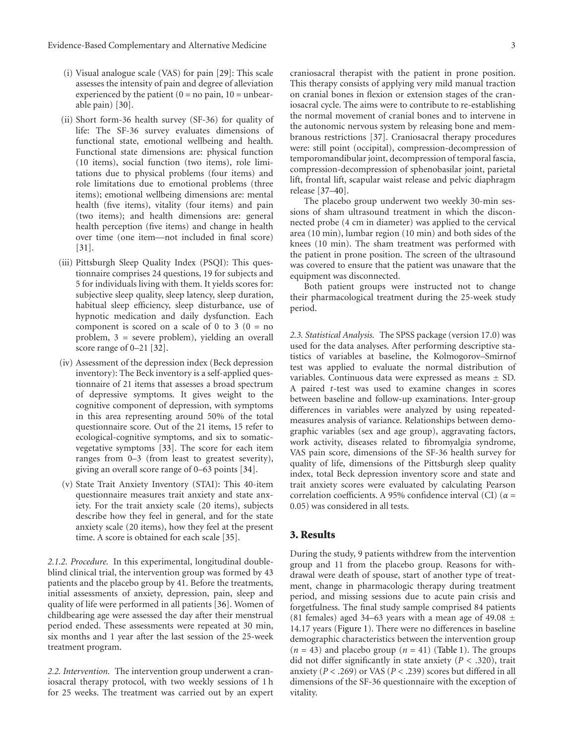- (i) Visual analogue scale (VAS) for pain [\[29](#page-8-0)]: This scale assesses the intensity of pain and degree of alleviation experienced by the patient  $(0 = no \, pain, 10 = unbear$ able pain) [\[30\]](#page-8-1).
- (ii) Short form-36 health survey (SF-36) for quality of life: The SF-36 survey evaluates dimensions of functional state, emotional wellbeing and health. Functional state dimensions are: physical function (10 items), social function (two items), role limitations due to physical problems (four items) and role limitations due to emotional problems (three items); emotional wellbeing dimensions are: mental health (five items), vitality (four items) and pain (two items); and health dimensions are: general health perception (five items) and change in health over time (one item—not included in final score) [\[31\]](#page-8-2).
- (iii) Pittsburgh Sleep Quality Index (PSQI): This questionnaire comprises 24 questions, 19 for subjects and 5 for individuals living with them. It yields scores for: subjective sleep quality, sleep latency, sleep duration, habitual sleep efficiency, sleep disturbance, use of hypnotic medication and daily dysfunction. Each component is scored on a scale of 0 to 3 ( $0 = no$ ) problem, 3 = severe problem), yielding an overall score range of 0–21 [\[32](#page-8-3)].
- (iv) Assessment of the depression index (Beck depression inventory): The Beck inventory is a self-applied questionnaire of 21 items that assesses a broad spectrum of depressive symptoms. It gives weight to the cognitive component of depression, with symptoms in this area representing around 50% of the total questionnaire score. Out of the 21 items, 15 refer to ecological-cognitive symptoms, and six to somaticvegetative symptoms [\[33](#page-8-4)]. The score for each item ranges from 0–3 (from least to greatest severity), giving an overall score range of 0–63 points [\[34](#page-8-5)].
- (v) State Trait Anxiety Inventory (STAI): This 40-item questionnaire measures trait anxiety and state anxiety. For the trait anxiety scale (20 items), subjects describe how they feel in general, and for the state anxiety scale (20 items), how they feel at the present time. A score is obtained for each scale [\[35](#page-8-6)].

*2.1.2. Procedure.* In this experimental, longitudinal doubleblind clinical trial, the intervention group was formed by 43 patients and the placebo group by 41. Before the treatments, initial assessments of anxiety, depression, pain, sleep and quality of life were performed in all patients [\[36\]](#page-8-7). Women of childbearing age were assessed the day after their menstrual period ended. These assessments were repeated at 30 min, six months and 1 year after the last session of the 25-week treatment program.

*2.2. Intervention.* The intervention group underwent a craniosacral therapy protocol, with two weekly sessions of 1 h for 25 weeks. The treatment was carried out by an expert craniosacral therapist with the patient in prone position. This therapy consists of applying very mild manual traction on cranial bones in flexion or extension stages of the craniosacral cycle. The aims were to contribute to re-establishing the normal movement of cranial bones and to intervene in the autonomic nervous system by releasing bone and membranous restrictions [\[37\]](#page-8-8). Craniosacral therapy procedures were: still point (occipital), compression-decompression of temporomandibular joint, decompression of temporal fascia, compression-decompression of sphenobasilar joint, parietal lift, frontal lift, scapular waist release and pelvic diaphragm release [\[37](#page-8-8)[–40](#page-8-9)].

The placebo group underwent two weekly 30-min sessions of sham ultrasound treatment in which the disconnected probe (4 cm in diameter) was applied to the cervical area (10 min), lumbar region (10 min) and both sides of the knees (10 min). The sham treatment was performed with the patient in prone position. The screen of the ultrasound was covered to ensure that the patient was unaware that the equipment was disconnected.

Both patient groups were instructed not to change their pharmacological treatment during the 25-week study period.

*2.3. Statistical Analysis.* The SPSS package (version 17.0) was used for the data analyses. After performing descriptive statistics of variables at baseline, the Kolmogorov–Smirnof test was applied to evaluate the normal distribution of variables. Continuous data were expressed as means ± SD. A paired *t*-test was used to examine changes in scores between baseline and follow-up examinations. Inter-group differences in variables were analyzed by using repeatedmeasures analysis of variance. Relationships between demographic variables (sex and age group), aggravating factors, work activity, diseases related to fibromyalgia syndrome, VAS pain score, dimensions of the SF-36 health survey for quality of life, dimensions of the Pittsburgh sleep quality index, total Beck depression inventory score and state and trait anxiety scores were evaluated by calculating Pearson correlation coefficients. A 95% confidence interval (CI) (*α* = 0.05) was considered in all tests.

#### **3. Results**

During the study, 9 patients withdrew from the intervention group and 11 from the placebo group. Reasons for withdrawal were death of spouse, start of another type of treatment, change in pharmacologic therapy during treatment period, and missing sessions due to acute pain crisis and forgetfulness. The final study sample comprised 84 patients (81 females) aged 34–63 years with a mean age of 49.08  $\pm$ 14.17 years [\(Figure 1\)](#page-3-0). There were no differences in baseline demographic characteristics between the intervention group  $(n = 43)$  and placebo group  $(n = 41)$  [\(Table 1\)](#page-3-1). The groups did not differ significantly in state anxiety  $(P < .320)$ , trait anxiety (*P <* .269) or VAS (*P <* .239) scores but differed in all dimensions of the SF-36 questionnaire with the exception of vitality.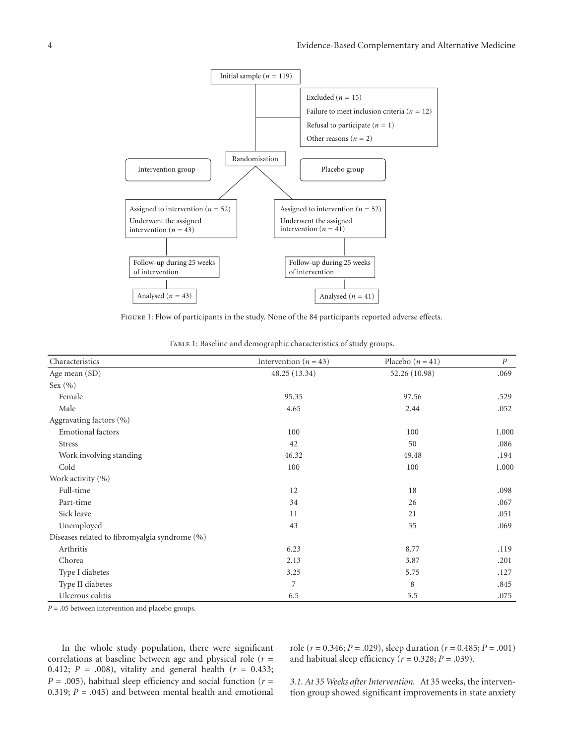

Figure 1: Flow of participants in the study. None of the 84 participants reported adverse effects.

<span id="page-3-1"></span><span id="page-3-0"></span>

| Characteristics                               | Intervention ( $n = 43$ ) | Placebo $(n = 41)$ | $\overline{P}$ |
|-----------------------------------------------|---------------------------|--------------------|----------------|
| Age mean (SD)                                 | 48.25 (13.34)             | 52.26 (10.98)      | .069           |
| Sex $(\% )$                                   |                           |                    |                |
| Female                                        | 95.35                     | 97.56              | .529           |
| Male                                          | 4.65                      | 2.44               | .052           |
| Aggravating factors (%)                       |                           |                    |                |
| <b>Emotional</b> factors                      | 100                       | 100                | 1.000          |
| <b>Stress</b>                                 | 42                        | 50                 | .086           |
| Work involving standing                       | 46.32                     | 49.48              | .194           |
| Cold                                          | 100                       | 100                | 1.000          |
| Work activity (%)                             |                           |                    |                |
| Full-time                                     | 12                        | 18                 | .098           |
| Part-time                                     | 34                        | 26                 | .067           |
| Sick leave                                    | 11                        | 21                 | .051           |
| Unemployed                                    | 43                        | 35                 | .069           |
| Diseases related to fibromyalgia syndrome (%) |                           |                    |                |
| Arthritis                                     | 6.23                      | 8.77               | .119           |
| Chorea                                        | 2.13                      | 3.87               | .201           |
| Type I diabetes                               | 3.25                      | 5.75               | .127           |
| Type II diabetes                              | 7                         | 8                  | .845           |
| Ulcerous colitis                              | 6.5                       | 3.5                | .075           |

*P* = .05 between intervention and placebo groups.

In the whole study population, there were significant correlations at baseline between age and physical role (*r* = 0.412; *P* = .008), vitality and general health (*r* = 0.433;  $P = .005$ ), habitual sleep efficiency and social function ( $r =$ 0.319;  $P = .045$ ) and between mental health and emotional

role (*r* = 0.346; *P* = .029), sleep duration (*r* = 0.485; *P* = .001) and habitual sleep efficiency ( $r = 0.328$ ;  $P = .039$ ).

*3.1. At 35 Weeks after Intervention.* At 35 weeks, the intervention group showed significant improvements in state anxiety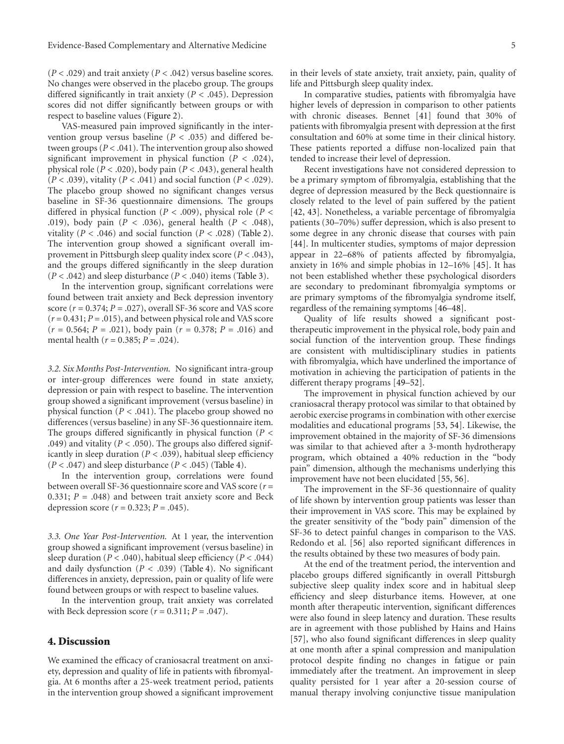$(P < .029)$  and trait anxiety  $(P < .042)$  versus baseline scores. No changes were observed in the placebo group. The groups differed significantly in trait anxiety (*P <* .045). Depression scores did not differ significantly between groups or with respect to baseline values [\(Figure 2\)](#page-6-0).

VAS-measured pain improved significantly in the intervention group versus baseline ( $P < .035$ ) and differed between groups (*P <* .041). The intervention group also showed significant improvement in physical function (*P <* .024), physical role (*P <* .020), body pain (*P <* .043), general health (*P <* .039), vitality (*P <* .041) and social function (*P <* .029). The placebo group showed no significant changes versus baseline in SF-36 questionnaire dimensions. The groups differed in physical function (*P <* .009), physical role (*P <* .019), body pain (*P <* .036), general health (*P <* .048), vitality ( $P < .046$ ) and social function ( $P < .028$ ) [\(Table 2\)](#page-5-0). The intervention group showed a significant overall improvement in Pittsburgh sleep quality index score (*P <* .043), and the groups differed significantly in the sleep duration  $(P < .042)$  and sleep disturbance  $(P < .040)$  items [\(Table 3\)](#page-5-1).

In the intervention group, significant correlations were found between trait anxiety and Beck depression inventory score (*r* = 0.374; *P* = .027), overall SF-36 score and VAS score (*r* = 0.431; *P* = .015), and between physical role and VAS score (*r* = 0.564; *P* = .021), body pain (*r* = 0.378; *P* = .016) and mental health (*r* = 0.385; *P* = .024).

*3.2. Six Months Post-Intervention.* No significant intra-group or inter-group differences were found in state anxiety, depression or pain with respect to baseline. The intervention group showed a significant improvement (versus baseline) in physical function (*P <* .041). The placebo group showed no differences (versus baseline) in any SF-36 questionnaire item. The groups differed significantly in physical function (*P <* .049) and vitality (*P <* .050). The groups also differed significantly in sleep duration (*P <* .039), habitual sleep efficiency  $(P < .047)$  and sleep disturbance  $(P < .045)$  [\(Table 4\)](#page-5-2).

In the intervention group, correlations were found between overall SF-36 questionnaire score and VAS score (*r* = 0.331;  $P = .048$ ) and between trait anxiety score and Beck depression score ( $r = 0.323$ ;  $P = .045$ ).

*3.3. One Year Post-Intervention.* At 1 year, the intervention group showed a significant improvement (versus baseline) in sleep duration ( $P < .040$ ), habitual sleep efficiency ( $P < .044$ ) and daily dysfunction (*P <* .039) [\(Table 4\)](#page-5-2). No significant differences in anxiety, depression, pain or quality of life were found between groups or with respect to baseline values.

In the intervention group, trait anxiety was correlated with Beck depression score  $(r = 0.311; P = .047)$ .

#### **4. Discussion**

We examined the efficacy of craniosacral treatment on anxiety, depression and quality of life in patients with fibromyalgia. At 6 months after a 25-week treatment period, patients in the intervention group showed a significant improvement

In comparative studies, patients with fibromyalgia have higher levels of depression in comparison to other patients with chronic diseases. Bennet [\[41\]](#page-8-10) found that 30% of patients with fibromyalgia present with depression at the first consultation and 60% at some time in their clinical history. These patients reported a diffuse non-localized pain that tended to increase their level of depression.

Recent investigations have not considered depression to be a primary symptom of fibromyalgia, establishing that the degree of depression measured by the Beck questionnaire is closely related to the level of pain suffered by the patient [\[42,](#page-8-11) [43\]](#page-8-12). Nonetheless, a variable percentage of fibromyalgia patients (30–70%) suffer depression, which is also present to some degree in any chronic disease that courses with pain [\[44\]](#page-8-13). In multicenter studies, symptoms of major depression appear in 22–68% of patients affected by fibromyalgia, anxiety in 16% and simple phobias in 12–16% [\[45\]](#page-8-14). It has not been established whether these psychological disorders are secondary to predominant fibromyalgia symptoms or are primary symptoms of the fibromyalgia syndrome itself, regardless of the remaining symptoms [\[46](#page-8-15)[–48](#page-8-16)].

Quality of life results showed a significant posttherapeutic improvement in the physical role, body pain and social function of the intervention group. These findings are consistent with multidisciplinary studies in patients with fibromyalgia, which have underlined the importance of motivation in achieving the participation of patients in the different therapy programs [\[49](#page-8-17)[–52\]](#page-8-18).

The improvement in physical function achieved by our craniosacral therapy protocol was similar to that obtained by aerobic exercise programs in combination with other exercise modalities and educational programs [\[53,](#page-8-19) [54\]](#page-8-20). Likewise, the improvement obtained in the majority of SF-36 dimensions was similar to that achieved after a 3-month hydrotherapy program, which obtained a 40% reduction in the "body pain" dimension, although the mechanisms underlying this improvement have not been elucidated [\[55](#page-8-21), [56](#page-8-22)].

The improvement in the SF-36 questionnaire of quality of life shown by intervention group patients was lesser than their improvement in VAS score. This may be explained by the greater sensitivity of the "body pain" dimension of the SF-36 to detect painful changes in comparison to the VAS. Redondo et al. [\[56](#page-8-22)] also reported significant differences in the results obtained by these two measures of body pain.

At the end of the treatment period, the intervention and placebo groups differed significantly in overall Pittsburgh subjective sleep quality index score and in habitual sleep efficiency and sleep disturbance items. However, at one month after therapeutic intervention, significant differences were also found in sleep latency and duration. These results are in agreement with those published by Hains and Hains [\[57\]](#page-8-23), who also found significant differences in sleep quality at one month after a spinal compression and manipulation protocol despite finding no changes in fatigue or pain immediately after the treatment. An improvement in sleep quality persisted for 1 year after a 20-session course of manual therapy involving conjunctive tissue manipulation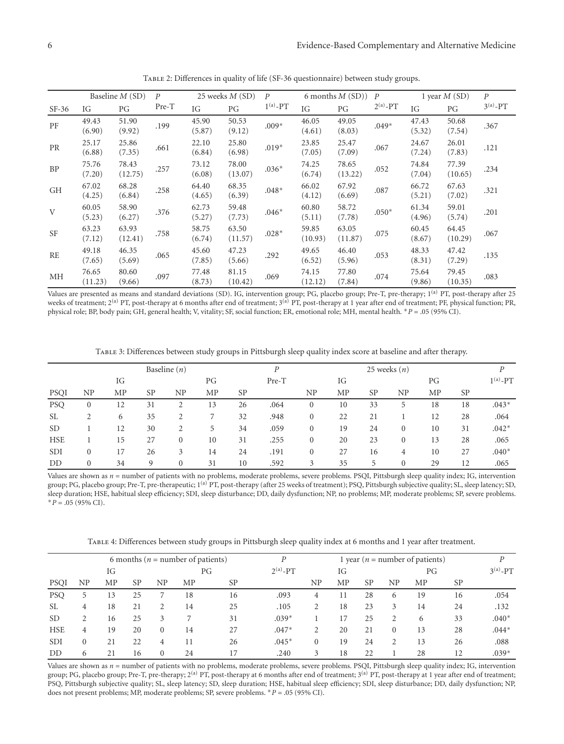|           | Baseline $M(SD)$ |                  | $\boldsymbol{P}$ |                 | 25 weeks $M(SD)$ |               | 6 months $M(SD)$ |                  | $\overline{P}$ | 1 year $M(SD)$  |                  | $\boldsymbol{P}$ |
|-----------|------------------|------------------|------------------|-----------------|------------------|---------------|------------------|------------------|----------------|-----------------|------------------|------------------|
| $SF-36$   | IG               | PG               | Pre-T            | IG              | PG               | $1^{(a)}$ -PT | IG               | PG               | $2^{(a)}$ -PT  | IG              | PG               | $3^{(a)} - PT$   |
| PF        | 49.43<br>(6.90)  | 51.90<br>(9.92)  | .199             | 45.90<br>(5.87) | 50.53<br>(9.12)  | $.009*$       | 46.05<br>(4.61)  | 49.05<br>(8.03)  | $.049*$        | 47.43<br>(5.32) | 50.68<br>(7.54)  | .367             |
| <b>PR</b> | 25.17<br>(6.88)  | 25.86<br>(7.35)  | .661             | 22.10<br>(6.84) | 25.80<br>(6.98)  | $.019*$       | 23.85<br>(7.05)  | 25.47<br>(7.09)  | .067           | 24.67<br>(7.24) | 26.01<br>(7.83)  | .121             |
| <b>BP</b> | 75.76<br>(7.20)  | 78.43<br>(12.75) | .257             | 73.12<br>(6.08) | 78.00<br>(13.07) | $.036*$       | 74.25<br>(6.74)  | 78.65<br>(13.22) | .052           | 74.84<br>(7.04) | 77.39<br>(10.65) | .234             |
| <b>GH</b> | 67.02<br>(4.25)  | 68.28<br>(6.84)  | .258             | 64.40<br>(4.65) | 68.35<br>(6.39)  | $.048*$       | 66.02<br>(4.12)  | 67.92<br>(6.69)  | .087           | 66.72<br>(5.21) | 67.63<br>(7.02)  | .321             |
| V         | 60.05<br>(5.23)  | 58.90<br>(6.27)  | .376             | 62.73<br>(5.27) | 59.48<br>(7.73)  | $.046*$       | 60.80<br>(5.11)  | 58.72<br>(7.78)  | $.050*$        | 61.34<br>(4.96) | 59.01<br>(5.74)  | .201             |
| <b>SF</b> | 63.23<br>(7.12)  | 63.93<br>(12.41) | .758             | 58.75<br>(6.74) | 63.50<br>(11.57) | $.028*$       | 59.85<br>(10.93) | 63.05<br>(11.87) | .075           | 60.45<br>(8.67) | 64.45<br>(10.29) | .067             |
| <b>RE</b> | 49.18<br>(7.65)  | 46.35<br>(5.69)  | .065             | 45.60<br>(7.85) | 47.23<br>(5.66)  | .292          | 49.65<br>(6.52)  | 46.40<br>(5.96)  | .053           | 48.33<br>(8.31) | 47.42<br>(7.29)  | .135             |
| MH        | 76.65<br>(11.23) | 80.60<br>(9.66)  | .097             | 77.48<br>(8.73) | 81.15<br>(10.42) | .069          | 74.15<br>(12.12) | 77.80<br>(7.84)  | .074           | 75.64<br>(9.86) | 79.45<br>(10.35) | .083             |

<span id="page-5-0"></span>Table 2: Differences in quality of life (SF-36 questionnaire) between study groups.

Values are presented as means and standard deviations (SD). IG, intervention group; PG, placebo group; Pre-T, pre-therapy; 1<sup>(a)</sup> PT, post-therapy after 25 weeks of treatment; 2<sup>(a)</sup> PT, post-therapy at 6 months after end of treatment; 3<sup>(a)</sup> PT, post-therapy at 1 year after end of treatment; PF, physical function; PR, physical role; BP, body pain; GH, general health; V, vitality; SF, social function; ER, emotional role; MH, mental health. <sup>∗</sup>*P* = .05 (95% CI).

<span id="page-5-1"></span>Table 3: Differences between study groups in Pittsburgh sleep quality index score at baseline and after therapy.

| Baseline $(n)$ |              |    |           |              |           |           | D           |                |    | 25 weeks $(n)$ |              |    |           |                |
|----------------|--------------|----|-----------|--------------|-----------|-----------|-------------|----------------|----|----------------|--------------|----|-----------|----------------|
|                | IG<br>PG     |    |           |              |           |           | Pre-T<br>IG |                |    | PG             |              |    |           | $1^{(a)} - PT$ |
| <b>PSQI</b>    | NP           | MP | <b>SP</b> | NP           | <b>MP</b> | <b>SP</b> |             | NP             | MP | <b>SP</b>      | NP           | MP | <b>SP</b> |                |
| <b>PSQ</b>     | $\mathbf{0}$ | 12 | 31        |              | 13        | 26        | .064        | $\mathbf{0}$   | 10 | 33             | 5            | 18 | 18        | $.043*$        |
| <b>SL</b>      | 2            | 6  | 35        |              |           | 32        | .948        | $\mathbf{0}$   | 22 | 21             |              | 12 | 28        | .064           |
| <b>SD</b>      |              | 12 | 30        | 2            | 5         | 34        | .059        | $\overline{0}$ | 19 | 24             | $\Omega$     | 10 | 31        | $.042*$        |
| <b>HSE</b>     |              | 15 | 27        | $\mathbf{0}$ | 10        | 31        | .255        | $\mathbf{0}$   | 20 | 23             | $\mathbf{0}$ | 13 | 28        | .065           |
| <b>SDI</b>     | $\mathbf{0}$ | 17 | 26        | 3            | 14        | 24        | .191        | $\mathbf{0}$   | 27 | 16             | 4            | 10 | 27        | $.040*$        |
| DD             | $\mathbf{0}$ | 34 | 9         | $\Omega$     | 31        | 10        | .592        | 3              | 35 | 5              | $\Omega$     | 29 | 12        | .065           |

Values are shown as *n* = number of patients with no problems, moderate problems, severe problems. PSQI, Pittsburgh sleep quality index; IG, intervention group; PG, placebo group; Pre-T, pre-therapeutic; 1<sup>(a)</sup> PT, post-therapy (after 25 weeks of treatment); PSQ, Pittsburgh subjective quality; SL, sleep latency; SD, sleep duration; HSE, habitual sleep efficiency; SDI, sleep disturbance; DD, daily dysfunction; NP, no problems; MP, moderate problems; SP, severe problems. <sup>∗</sup>*P* = .05 (95% CI).

<span id="page-5-2"></span>Table 4: Differences between study groups in Pittsburgh sleep quality index at 6 months and 1 year after treatment.

|            | 6 months ( $n =$ number of patients) |    |           |              |    |                      |         |          | 1 year ( $n =$ number of patients) |    |                |                |           |         |
|------------|--------------------------------------|----|-----------|--------------|----|----------------------|---------|----------|------------------------------------|----|----------------|----------------|-----------|---------|
|            | IG<br>РG                             |    |           |              |    | $2^{(a)} - PT$<br>IG |         |          | PG                                 |    |                | $3^{(a)} - PT$ |           |         |
| PSQI       | NP                                   | MP | <b>SP</b> | ΝP           | MP | <b>SP</b>            |         | NP       | MP                                 | SP | ΝP             | MP             | <b>SP</b> |         |
| <b>PSQ</b> | 5                                    | 13 | 25        |              | 18 | 16                   | .093    | 4        |                                    | 28 | 6              | 19             | 16        | .054    |
| <b>SL</b>  | 4                                    | 18 | 21        | 2            | 14 | 25                   | .105    |          | 18                                 | 23 | 3              | 14             | 24        | .132    |
| <b>SD</b>  |                                      | 16 | 25        | 3            |    | 31                   | $.039*$ |          | 17                                 | 25 | $\overline{2}$ | 6              | 33        | $.040*$ |
| <b>HSE</b> | 4                                    | 19 | 20        | $\mathbf{0}$ | 14 | 27                   | $.047*$ |          | 20                                 | 21 | $\mathbf{0}$   | 13             | 28        | $.044*$ |
| <b>SDI</b> | $\mathbf{0}$                         | 21 | 22        | 4            | 11 | 26                   | $.045*$ | $\Omega$ | 19                                 | 24 | $\overline{2}$ | 13             | 26        | .088    |
| DD         | 6                                    | 21 | 16        | $\mathbf{0}$ | 24 | 17                   | .240    | 3        | 18                                 | 22 |                | 28             | 12        | $.039*$ |

Values are shown as *n* = number of patients with no problems, moderate problems, severe problems. PSQI, Pittsburgh sleep quality index; IG, intervention group; PG, placebo group; Pre-T, pre-therapy; 2<sup>(a)</sup> PT, post-therapy at 6 months after end of treatment; 3<sup>(a)</sup> PT, post-therapy at 1 year after end of treatment; PSQ, Pittsburgh subjective quality; SL, sleep latency; SD, sleep duration; HSE, habitual sleep efficiency; SDI, sleep disturbance; DD, daily dysfunction; NP, does not present problems; MP, moderate problems; SP, severe problems. <sup>∗</sup>*P* = .05 (95% CI).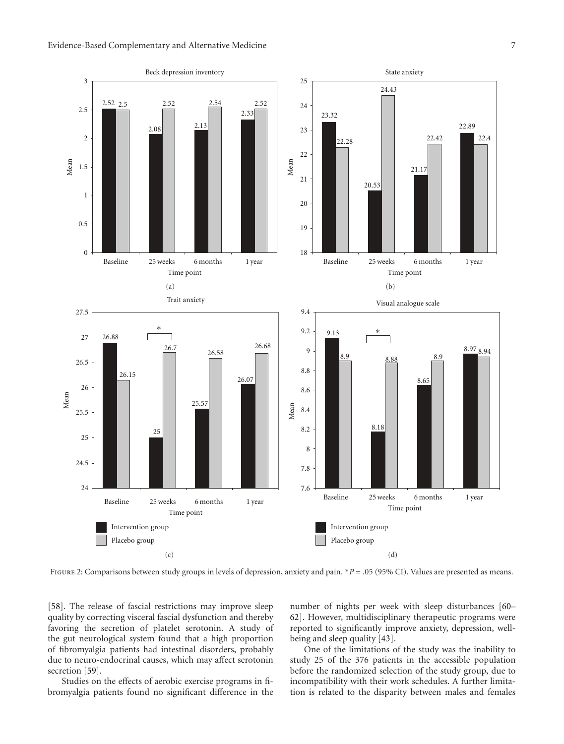

<span id="page-6-0"></span>Figure 2: Comparisons between study groups in levels of depression, anxiety and pain. <sup>∗</sup>*P* = .05 (95% CI). Values are presented as means.

[\[58\]](#page-8-24). The release of fascial restrictions may improve sleep quality by correcting visceral fascial dysfunction and thereby favoring the secretion of platelet serotonin. A study of the gut neurological system found that a high proportion of fibromyalgia patients had intestinal disorders, probably due to neuro-endocrinal causes, which may affect serotonin secretion [\[59](#page-8-25)].

Studies on the effects of aerobic exercise programs in fibromyalgia patients found no significant difference in the number of nights per week with sleep disturbances [\[60–](#page-8-26) [62](#page-8-27)]. However, multidisciplinary therapeutic programs were reported to significantly improve anxiety, depression, wellbeing and sleep quality [\[43](#page-8-12)].

One of the limitations of the study was the inability to study 25 of the 376 patients in the accessible population before the randomized selection of the study group, due to incompatibility with their work schedules. A further limitation is related to the disparity between males and females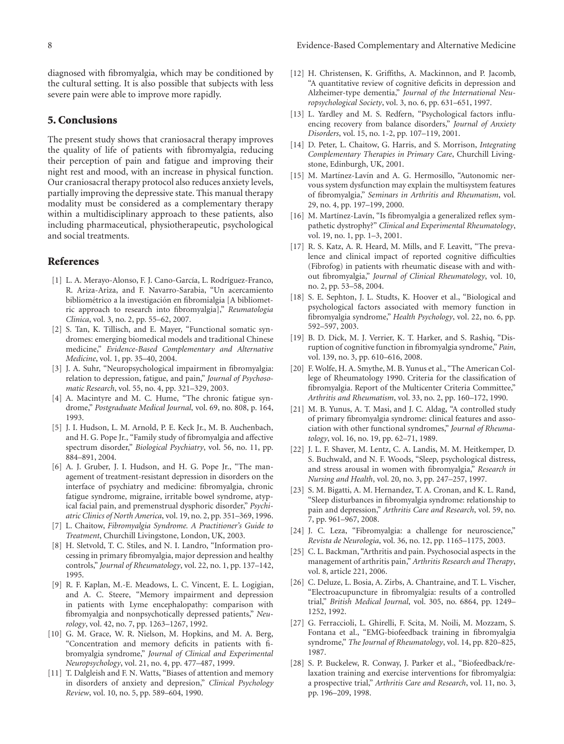diagnosed with fibromyalgia, which may be conditioned by the cultural setting. It is also possible that subjects with less severe pain were able to improve more rapidly.

#### **5. Conclusions**

The present study shows that craniosacral therapy improves the quality of life of patients with fibromyalgia, reducing their perception of pain and fatigue and improving their night rest and mood, with an increase in physical function. Our craniosacral therapy protocol also reduces anxiety levels, partially improving the depressive state. This manual therapy modality must be considered as a complementary therapy within a multidisciplinary approach to these patients, also including pharmaceutical, physiotherapeutic, psychological and social treatments.

#### <span id="page-7-0"></span>**References**

- <span id="page-7-1"></span>[1] L. A. Merayo-Alonso, F. J. Cano-García, L. Rodríguez-Franco, R. Ariza-Ariza, and F. Navarro-Sarabia, "Un acercamiento bibliométrico a la investigación en fibromialgia [A bibliometric approach to research into fibromyalgia]," *Reumatologia Clinica*, vol. 3, no. 2, pp. 55–62, 2007.
- <span id="page-7-2"></span>[2] S. Tan, K. Tillisch, and E. Mayer, "Functional somatic syndromes: emerging biomedical models and traditional Chinese medicine," *Evidence-Based Complementary and Alternative Medicine*, vol. 1, pp. 35–40, 2004.
- <span id="page-7-3"></span>[3] J. A. Suhr, "Neuropsychological impairment in fibromyalgia: relation to depression, fatigue, and pain," *Journal of Psychosomatic Research*, vol. 55, no. 4, pp. 321–329, 2003.
- <span id="page-7-4"></span>[4] A. Macintyre and M. C. Hume, "The chronic fatigue syndrome," *Postgraduate Medical Journal*, vol. 69, no. 808, p. 164, 1993.
- <span id="page-7-5"></span>[5] J. I. Hudson, L. M. Arnold, P. E. Keck Jr., M. B. Auchenbach, and H. G. Pope Jr., "Family study of fibromyalgia and affective spectrum disorder," *Biological Psychiatry*, vol. 56, no. 11, pp. 884–891, 2004.
- <span id="page-7-6"></span>[6] A. J. Gruber, J. I. Hudson, and H. G. Pope Jr., "The management of treatment-resistant depression in disorders on the interface of psychiatry and medicine: fibromyalgia, chronic fatigue syndrome, migraine, irritable bowel syndrome, atypical facial pain, and premenstrual dysphoric disorder," *Psychiatric Clinics of North America*, vol. 19, no. 2, pp. 351–369, 1996.
- <span id="page-7-7"></span>[7] L. Chaitow, *Fibromyalgia Syndrome. A Practitioner's Guide to Treatment*, Churchill Livingstone, London, UK, 2003.
- <span id="page-7-8"></span>[8] H. Sletvold, T. C. Stiles, and N. I. Landro, "Information processing in primary fibromyalgia, major depression and healthy controls," *Journal of Rheumatology*, vol. 22, no. 1, pp. 137–142, 1995.
- <span id="page-7-9"></span>[9] R. F. Kaplan, M.-E. Meadows, L. C. Vincent, E. L. Logigian, and A. C. Steere, "Memory impairment and depression in patients with Lyme encephalopathy: comparison with fibromyalgia and nonpsychotically depressed patients," *Neurology*, vol. 42, no. 7, pp. 1263–1267, 1992.
- <span id="page-7-10"></span>[10] G. M. Grace, W. R. Nielson, M. Hopkins, and M. A. Berg, "Concentration and memory deficits in patients with fibromyalgia syndrome," *Journal of Clinical and Experimental Neuropsychology*, vol. 21, no. 4, pp. 477–487, 1999.
- [11] T. Dalgleish and F. N. Watts, "Biases of attention and memory in disorders of anxiety and depresion," *Clinical Psychology Review*, vol. 10, no. 5, pp. 589–604, 1990.
- <span id="page-7-11"></span>[12] H. Christensen, K. Griffiths, A. Mackinnon, and P. Jacomb, "A quantitative review of cognitive deficits in depression and Alzheimer-type dementia," *Journal of the International Neuropsychological Society*, vol. 3, no. 6, pp. 631–651, 1997.
- <span id="page-7-12"></span>[13] L. Yardley and M. S. Redfern, "Psychological factors influencing recovery from balance disorders," *Journal of Anxiety Disorders*, vol. 15, no. 1-2, pp. 107–119, 2001.
- <span id="page-7-13"></span>[14] D. Peter, L. Chaitow, G. Harris, and S. Morrison, *Integrating Complementary Therapies in Primary Care*, Churchill Livingstone, Edinburgh, UK, 2001.
- <span id="page-7-14"></span>[15] M. Martínez-Lavín and A. G. Hermosillo, "Autonomic nervous system dysfunction may explain the multisystem features of fibromyalgia," *Seminars in Arthritis and Rheumatism*, vol. 29, no. 4, pp. 197–199, 2000.
- <span id="page-7-15"></span>[16] M. Martínez-Lavín, "Is fibromyalgia a generalized reflex sympathetic dystrophy?" *Clinical and Experimental Rheumatology*, vol. 19, no. 1, pp. 1–3, 2001.
- <span id="page-7-16"></span>[17] R. S. Katz, A. R. Heard, M. Mills, and F. Leavitt, "The prevalence and clinical impact of reported cognitive difficulties (Fibrofog) in patients with rheumatic disease with and without fibromyalgia," *Journal of Clinical Rheumatology*, vol. 10, no. 2, pp. 53–58, 2004.
- <span id="page-7-17"></span>[18] S. E. Sephton, J. L. Studts, K. Hoover et al., "Biological and psychological factors associated with memory function in fibromyalgia syndrome," *Health Psychology*, vol. 22, no. 6, pp. 592–597, 2003.
- <span id="page-7-18"></span>[19] B. D. Dick, M. J. Verrier, K. T. Harker, and S. Rashiq, "Disruption of cognitive function in fibromyalgia syndrome," *Pain*, vol. 139, no. 3, pp. 610–616, 2008.
- <span id="page-7-19"></span>[20] F. Wolfe, H. A. Smythe, M. B. Yunus et al., "The American College of Rheumatology 1990. Criteria for the classification of fibromyalgia. Report of the Multicenter Criteria Committee," *Arthritis and Rheumatism*, vol. 33, no. 2, pp. 160–172, 1990.
- <span id="page-7-20"></span>[21] M. B. Yunus, A. T. Masi, and J. C. Aldag, "A controlled study of primary fibromyalgia syndrome: clinical features and association with other functional syndromes," *Journal of Rheumatology*, vol. 16, no. 19, pp. 62–71, 1989.
- <span id="page-7-21"></span>[22] J. L. F. Shaver, M. Lentz, C. A. Landis, M. M. Heitkemper, D. S. Buchwald, and N. F. Woods, "Sleep, psychological distress, and stress arousal in women with fibromyalgia," *Research in Nursing and Health*, vol. 20, no. 3, pp. 247–257, 1997.
- <span id="page-7-22"></span>[23] S. M. Bigatti, A. M. Hernandez, T. A. Cronan, and K. L. Rand, "Sleep disturbances in fibromyalgia syndrome: relationship to pain and depression," *Arthritis Care and Research*, vol. 59, no. 7, pp. 961–967, 2008.
- <span id="page-7-23"></span>[24] J. C. Leza, "Fibromyalgia: a challenge for neuroscience," *Revista de Neurologia*, vol. 36, no. 12, pp. 1165–1175, 2003.
- <span id="page-7-24"></span>[25] C. L. Backman, "Arthritis and pain. Psychosocial aspects in the management of arthritis pain," *Arthritis Research and Therapy*, vol. 8, article 221, 2006.
- [26] C. Deluze, L. Bosia, A. Zirbs, A. Chantraine, and T. L. Vischer, "Electroacupuncture in fibromyalgia: results of a controlled trial," *British Medical Journal*, vol. 305, no. 6864, pp. 1249– 1252, 1992.
- [27] G. Ferraccioli, L. Ghirelli, F. Scita, M. Noili, M. Mozzam, S. Fontana et al., "EMG-biofeedback training in fibromyalgia syndrome," *The Journal of Rheumatology*, vol. 14, pp. 820–825, 1987.
- <span id="page-7-25"></span>[28] S. P. Buckelew, R. Conway, J. Parker et al., "Biofeedback/relaxation training and exercise interventions for fibromyalgia: a prospective trial," *Arthritis Care and Research*, vol. 11, no. 3, pp. 196–209, 1998.